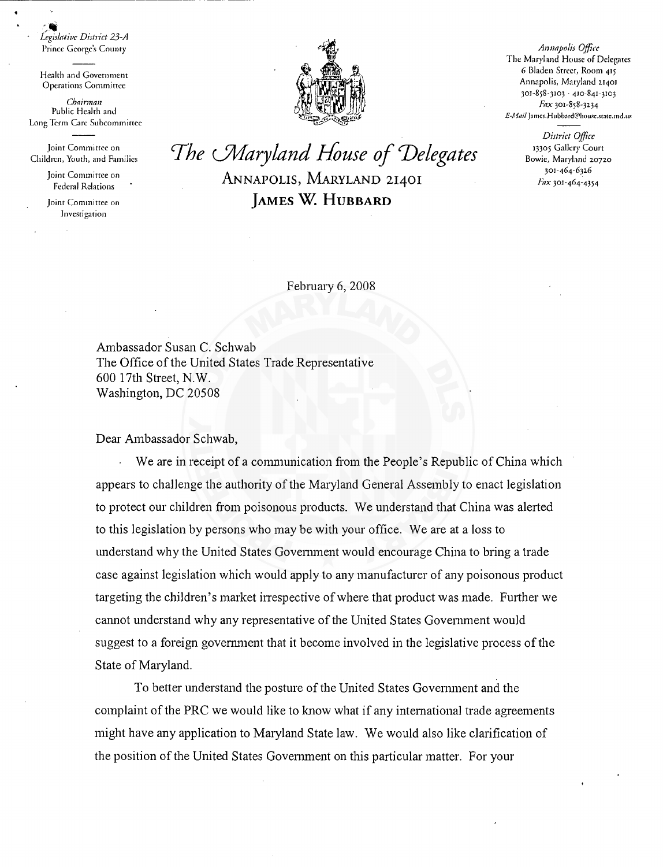$\cdot$  , *Legislative District 23-A*  Prince George's County

Health and Government Operations Committee

*Chairman*  Public Health and Long Term Care Subcommittee

Joint Committee on Children, Youth, and Families

> Joint Committee on Federal Relations

Joint Committee on Jnvcsrigarion



*Annapolis Office*  The Maryland House of Delegates 6 Bladen Street, Room 415 Annapolis, Maryland 21401  $301 - 858 - 3103 + 410 - 841 - 3103$ Fax 301-858-3234 E-Mail James.Hubbard@house.state.md.us

> *District Office*  13305 Gallery Court Bowie, Maryland 20720 301-464-632.6 Fax 301-464-4354

*The cMaryland House of 'Delegates*  ANNAPOLIS, MARYLAND 21401 *]AMES* w. HUBBARD

February 6, 2008

Ambassador Susan C. Schwab The Office of the United States Trade Representative 600 17th Street, N.W. Washington, DC 20508

Dear Ambassador Schwab,

We are in receipt of a communication from the People's Republic of China which appears to challenge the authority of the Maryland General Assembly to enact legislation to protect our children from poisonous products. We understand that China was alerted to this legislation by persons who may be with your office. We are at a loss to understand why the United States Govenunent would encourage China to bring a trade case against legislation which would apply to any manufacturer of any poisonous product targeting the children's market irrespective of where that product was made. Further we cannot understand why any representative of the United States Government would suggest to a foreign government that it become involved in the legislative process of the State of Maryland.

To better understand the posture of the United States Government and the complaint of the PRC we would like to know what if any international trade agreements might have any application to Maryland State law. We would also like clarification of the position of the United States Govenunent on this particular matter. For your